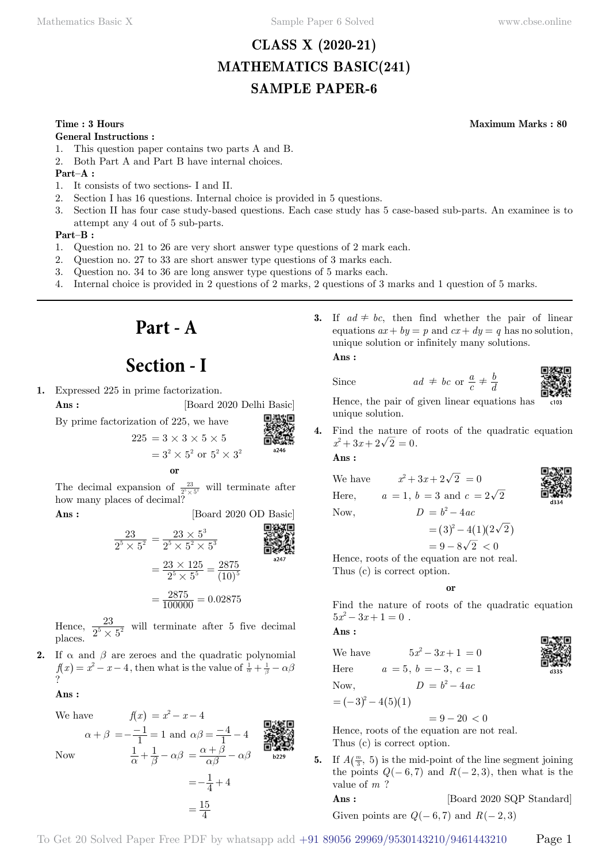# **CLASS X (2020-21) MATHEMATICS BASIC(241) SAMPLE PAPER-6**

# **Time : 3 Hours Maximum Marks : 80**

**General Instructions :**

- 1. This question paper contains two parts A and B.
- 2. Both Part A and Part B have internal choices.

**Part–A :**

- 1. It consists of two sections- I and II.
- 2. Section I has 16 questions. Internal choice is provided in 5 questions.
- 3. Section II has four case study-based questions. Each case study has 5 case-based sub-parts. An examinee is to attempt any 4 out of 5 sub-parts.

### **Part–B :**

- 1. Question no. 21 to 26 are very short answer type questions of 2 mark each.
- 2. Question no. 27 to 33 are short answer type questions of 3 marks each.
- 3. Question no. 34 to 36 are long answer type questions of 5 marks each.
- 4. Internal choice is provided in 2 questions of 2 marks, 2 questions of 3 marks and 1 question of 5 marks.

**Part - A**

# **Section - I**

**1.** Expressed 225 in prime factorization.

**Ans :** [Board 2020 Delhi Basic]

By prime factorization of 225, we have

$$
225 = 3 \times 3 \times 5 \times 5
$$
  
=  $3^2 \times 5^2$  or  $5^2 \times 3^2$   
or

The decimal expansion of  $\frac{23}{2^5 \times 5^2}$  will terminate after how many places of decimal?

**Ans :** [Board 2020 OD Basic]

$$
\frac{23}{2^5 \times 5^2} = \frac{23 \times 5^3}{2^5 \times 5^2 \times 5^3}
$$
\n
$$
= \frac{23 \times 125}{2^5 \times 5^5} = \frac{2875}{(10)^5}
$$
\n
$$
= \frac{2875}{100000} = 0.02875
$$

Hence,  $\frac{23}{2^5 \times 5}$  $rac{23}{5 \times 5^2}$  will terminate after 5 five decimal places.

**2.** If  $\alpha$  and  $\beta$  are zeroes and the quadratic polynomial  $f(x) = x^2 - x - 4$ , then what is the value of  $\frac{1}{\alpha} + \frac{1}{\beta} - \alpha\beta$ ?

#### **Ans :**

 $W_{\alpha}$  have  $f(x) = x^2 - x - 4$ 

Now

\n
$$
\alpha + \beta = -\frac{-1}{1} = 1 \text{ and } \alpha\beta = \frac{-4}{1} - 4
$$
\n
$$
\frac{1}{\alpha} + \frac{1}{\beta} - \alpha\beta = \frac{\alpha + \beta}{\alpha\beta} - \alpha\beta
$$
\n
$$
= -\frac{1}{4} + 4
$$
\n
$$
= \frac{15}{4}
$$

**3.** If  $ad \neq bc$ , then find whether the pair of linear equations  $ax + by = p$  and  $cx + dy = q$  has no solution, unique solution or infinitely many solutions.  **Ans :**

Since  $ad \neq bc$  or  $\frac{a}{c}$ 



Hence, the pair of given linear equations has unique solution.

**4.** Find the nature of roots of the quadratic equation  $x^2 + 3x + 2\sqrt{2} = 0.$ 

 **Ans :**

We have  $x^2 + 3x + 2\sqrt{2} = 0$ Here,  $a = 1$ ,  $b = 3$  and  $c = 2\sqrt{2}$ Now,  $D = b^2 - 4ac$ 

$$
\frac{1}{2}
$$

**CONSIGN** 

 $= (3)^2 - 4(1)(2\sqrt{2})$ 

 $\frac{a}{c} \neq \frac{b}{a}$ 

 $= 9 - 8\sqrt{2} < 0$ 

Hence, roots of the equation are not real. Thus (c) is correct option.

 **o**

Find the nature of roots of the quadratic equation  $5x^2 - 3x + 1 = 0$ .

 **Ans :**

We have  $5x^2 - 3x + 1 = 0$ Here  $a = 5, b = -3, c = 1$ Now,  $D = b^2 - 4ac$  $= (-3)^2 - 4(5)(1)$ 

$$
=(-3)^2-4(5)(
$$

Hence, roots of the equation are not real. Thus (c) is correct option.

**5.** If  $A(\frac{m}{3}, 5)$  is the mid-point of the line segment joining the points  $Q(-6, 7)$  and  $R(-2, 3)$ , then what is the value of *m* ?

 $= 9 - 20 < 0$ 

**Ans :** [Board 2020 SQP Standard] Given points are  $Q(-6, 7)$  and  $R(-2, 3)$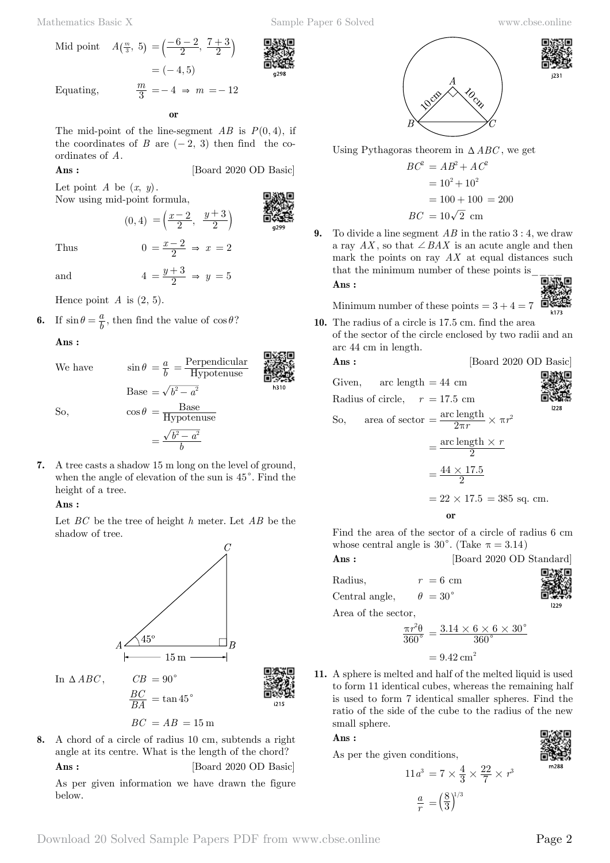Mathematics Basic X Sample Paper 6 Solved www.cbse.online

Equating, *<sup>m</sup>*

 **o**

 $= (-4, 5)$ 

 $=\left(\frac{-6-2}{2},\frac{7+3}{2}\right)$ 

 $\frac{m}{3} = -4 \Rightarrow m = -12$ 

The mid-point of the line-segment  $AB$  is  $P(0, 4)$ , if the coordinates of *B* are  $(-2, 3)$  then find the coordinates of *A*.

 $(0, 4) = \left(\frac{x-2}{2}, \frac{y}{2}\right)$ 

2  $=\left(\frac{x-2}{2}, \frac{y+3}{2}\right)$ 

 **Ans :** [Board 2020 OD Basic]

Let point  $A$  be  $(x, y)$ . Now using mid-point formula,

Mid point  $A(\frac{m}{3}, 5) = \left(\frac{-6-2}{2}, \frac{2}{3}\right)$ 

Thus  $0 = \frac{x-2}{2} \Rightarrow x = 2$ 

and  $4 = \frac{y+3}{2} \Rightarrow y = 5$ 

Hence point  $A$  is  $(2, 5)$ .

**6.** If  $\sin \theta = \frac{a}{b}$ , then find the value of  $\cos \theta$ ?

 **Ans :**

We have  $\sin \theta = \frac{a}{b} = \frac{\text{Perpendicular}}{\text{Hypotenuse}}$  $Base = \sqrt{b^2 - a^2}$ 



So,  
\n
$$
\cos \theta = \frac{\text{Base}}{\text{Hypotenuse}}
$$
\n
$$
= \frac{\sqrt{b^2 - a^2}}{b}
$$

**7.** A tree casts a shadow 15 m long on the level of ground, when the angle of elevation of the sun is  $45^\circ$ . Find the height of a tree.

# **Ans :**

Let *BC* be the tree of height *h* meter. Let *AB* be the shadow of tree.



In  $\triangle ABC$ ,  $CB = 90^\circ$ 



 $BC = AB = 15 \text{ m}$ 

 $\frac{BC}{BA}$  = tan 45<sup>°</sup>

**8.** A chord of a circle of radius 10 cm, subtends a right angle at its centre. What is the length of the chord? **Ans :** [Board 2020 OD Basic]

As per given information we have drawn the figure below.



Using Pythagoras theorem in  $\triangle ABC$ , we get

$$
BC2 = AB2 + AC2
$$

$$
= 102 + 102
$$

$$
= 100 + 100 = 200
$$

$$
BC = 10\sqrt{2} \text{ cm}
$$

**9.** To divide a line segment *AB* in the ratio 3 : 4, we draw a ray  $AX$ , so that  $\angle BAX$  is an acute angle and then mark the points on ray *AX* at equal distances such that the minimum number of these points is\_\_\_\_

$$
\mathbb{R}
$$

Minimum number of these points  $= 3 + 4 =$ 

**10.** The radius of a circle is 17.5 cm. find the area of the sector of the circle enclosed by two radii and an arc 44 cm in length.

 **Ans :** [Board 2020 OD Basic]

Given, arc length = 44 cm  
Radius of circle, 
$$
r = 17.5
$$
 cm  
So, area of sector =  $\frac{\text{arc length}}{2\pi r} \times \pi r^2$   
=  $\frac{\text{arc length} \times r}{2}$ 

$$
= \frac{44 \times 17.5}{2}
$$
  
= 22 × 17.5 = 385 sq. cm.

 **o**

Find the area of the sector of a circle of radius 6 cm whose central angle is 30 $^{\circ}$ . (Take  $\pi = 3.14$ )

**Ans :** [Board 2020 OD Standard]

Radius,  $r = 6$  cm

 **Ans :**

Central angle,  $\theta = 30^{\circ}$ 

$$
_{\rm{ent}}
$$

Area of the sector,

$$
\frac{\pi r^2 \theta}{360^\circ} = \frac{3.14 \times 6 \times 6 \times 30^\circ}{360^\circ}
$$

$$
=9.42\,\mathrm{cm}^2
$$

**11.** A sphere is melted and half of the melted liquid is used to form 11 identical cubes, whereas the remaining half is used to form 7 identical smaller spheres. Find the ratio of the side of the cube to the radius of the new small sphere.

 **Ans :**

As per the given conditions,

$$
11a3 = 7 \times \frac{4}{3} \times \frac{22}{7} \times r3
$$

$$
\frac{a}{r} = \left(\frac{8}{3}\right)^{1/3}
$$



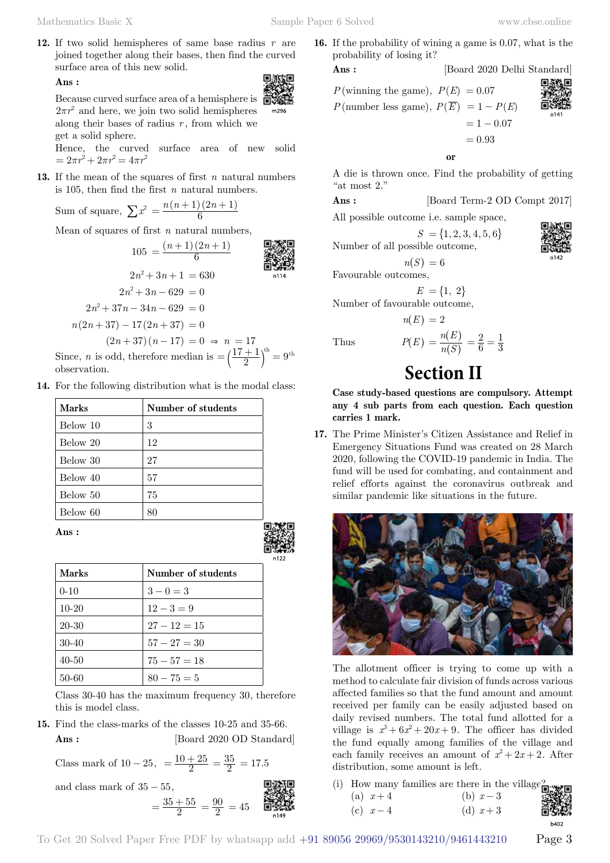**12.** If two solid hemispheres of same base radius *r* are joined together along their bases, then find the curved surface area of this new solid. 同源改同

## **Ans :**

Because curved surface area of a hemisphere is  $2\pi r^2$  and here, we join two solid hemispheres along their bases of radius  $r$ , from which we get a solid sphere.

Hence, the curved surface area of new solid  $= 2\pi r^2 + 2\pi r^2 = 4\pi r^2$ 

 $m296$ 

**13.** If the mean of the squares of first *n* natural numbers is 105, then find the first *n* natural numbers.

Sum of square, 
$$
\sum x^2 = \frac{n(n+1)(2n+1)}{6}
$$

Mean of squares of first *n* natural numbers,

<sup>105</sup> ( ) *n n* ( ) 6 1 2 <sup>1</sup> <sup>=</sup> + + 2 3 *n n* 1 <sup>2</sup> + + = 630 2 3 *n n* 629 <sup>2</sup> + − = 0 2 3 *n n*7 34*n* 629 <sup>2</sup> +−− = 0 *n n* ( ) 2 3 + − 7 17 2( ) *n* + 37 = 0 ( ) 2 3 *n n* + − 7 1 ( )7 = 0 & *n* = 17

Since, *n* is odd, therefore median is  $= \left(\frac{17+1}{2}\right)^{th} = 9^{th}$ observation.

**14.** For the following distribution what is the modal class:

| <b>Marks</b> | Number of students |
|--------------|--------------------|
| Below 10     | 3                  |
| Below 20     | 12                 |
| Below 30     | 27                 |
| Below 40     | 57                 |
| Below 50     | 75                 |
| Below 60     | 80                 |

 **Ans :**

| <b>Marks</b> | Number of students |
|--------------|--------------------|
| $0 - 10$     | $3 - 0 = 3$        |
| $10-20$      | $12 - 3 = 9$       |
| 20-30        | $27 - 12 = 15$     |
| $30-40$      | $57 - 27 = 30$     |
| $40 - 50$    | $75 - 57 = 18$     |
| 50-60        | $80 - 75 = 5$      |

Class 30-40 has the maximum frequency 30, therefore this is model class.

**15.** Find the class-marks of the classes 10-25 and 35-66. **Ans :** [Board 2020 OD Standard]

Class mark of  $10 - 25$ ,  $= \frac{10 + 25}{2} = \frac{35}{2} = 17.5$ and class mark of  $35 - 55$ ,

and class mark of 
$$
35 - 55
$$
,  
\n
$$
= \frac{35 + 55}{2} = \frac{90}{2} = 45
$$
\n**EXAMPLE**  
\n**EXAMPLE**  
\n**EXAMPLE**  
\n**EXAMPLE**  
\n**EXAMPLE**  
\n**EXAMPLE**  
\n**EXAMPLE**  
\n**EXAMPLE**  
\n**EXAMPLE**  
\n**EXAMPLE**  
\n**EXAMPLE**  
\n**EXAMPLE**  
\n**EXAMPLE**  
\n**EXAMPLE**  
\n**EXAMPLE**  
\n**EXAMPLE**  
\n**EXAMPLE**  
\n**EXAMPLE**  
\n**EXAMPLE**  
\n**EXAMPLE**  
\n**EXAMPLE**  
\n**EXAMPLE**  
\n**EXAMPLE**  
\n**EXAMPLE**  
\n**EXAMPLE**  
\n**EXAMPLE**  
\n**EXAMPLE**  
\n**EXAMPLE**  
\n**EXAMPLE**  
\n**EXAMPLE**  
\n**EXAMPLE**  
\n**EXAMPLE**  
\n**EXAMPLE**  
\n**EXAMPLE**  
\n**EXAMPLE**  
\n**EXAMPLE**  
\n**EXAMPLE**  
\n**EXAMPLE**  
\n**EXAMPLE**  
\n**EXAMPLE**  
\n**EXAMPLE**  
\n**EXAMPLE**  
\n**EXAMPLE**  
\n**EXAMPLE**  
\n**EXAMPLE**  
\n**EXAMPLE**  
\n**EXAMPLE**  
\n**EXAMPLE**  
\n**EXAMPLE**  
\n**EXAMPLE**  
\n**EXAMPLE**  
\n**EXAMPLE**  
\n**EXAMPLE**  
\n**EXAMPLE**  
\n**EXAMPLE**  
\n**EXAMPLE**  
\n**EXAMPLE**  
\n**EXAMPLE**  
\n**EXAMPLE**  
\n**EXAMPLE**  
\n**EXAMPLE**  
\n**EXAMPLE**  
\n**EXAMPLE**  
\n**EXAMPLE**  
\n**EXAMPLE**  
\n**EXAMPLE**  
\n**EXAMPLE**  
\n**EXAMPLE**  
\n**EXAMPLE**  
\n**EXAMPLE**  
\n**EXAMPLE**  
\n**EXAMPLE**  
\n**EXAMPLE**  
\n**EXAMPLE**  
\n**EXAMPLE**  
\n**EXAMPLE**  
\n**EXAMPLE**  
\n**EXAMPLE**  
\n**EXAMPLE**

**16.** If the probability of wining a game is 0.07, what is the probability of losing it?

*P*(number less game),  $P(\overline{E}) = 1 - P(E)$  $= 1 - 0.07$ 



 **o**

A die is thrown once. Find the probability of getting "at most 2."

**Ans :** [Board Term-2 OD Compt 2017]

 $= 0.93$ 

All possible outcome i.e. sample space,

 $S = \{1, 2, 3, 4, 5, 6\}$ Number of all possible outcome,

$$
n(S)=6
$$

Favourable outcomes,

$$
E = \{1, 2\}
$$

Number of favourable outcome,

$$
n(E) = 2
$$

Thus  $P(E) = \frac{n(E)}{n(S)}$ 

# **Section II**

**Case study-based questions are compulsory. Attempt any 4 sub parts from each question. Each question carries 1 mark.**

 $\left( S\right)$  $\overline{\phantom{a}}$ 

6 2  $=\frac{2}{6}=\frac{1}{3}$ 

**17.** The Prime Minister's Citizen Assistance and Relief in Emergency Situations Fund was created on 28 March 2020, following the COVID-19 pandemic in India. The fund will be used for combating, and containment and relief efforts against the coronavirus outbreak and similar pandemic like situations in the future.



The allotment officer is trying to come up with a method to calculate fair division of funds across various affected families so that the fund amount and amount received per family can be easily adjusted based on daily revised numbers. The total fund allotted for a village is  $x^3 + 6x^2 + 20x + 9$ . The officer has divided the fund equally among families of the village and each family receives an amount of  $x^2 + 2x + 2$ . After distribution, some amount is left.

(i) How many families are there in the village (a)  $x+4$  (b)  $x-3$ (c)  $x-4$  (d)  $x+3$ 



**Ans :** [Board 2020 Delhi Standard]

*P*(winning the game),  $P(E) = 0.07$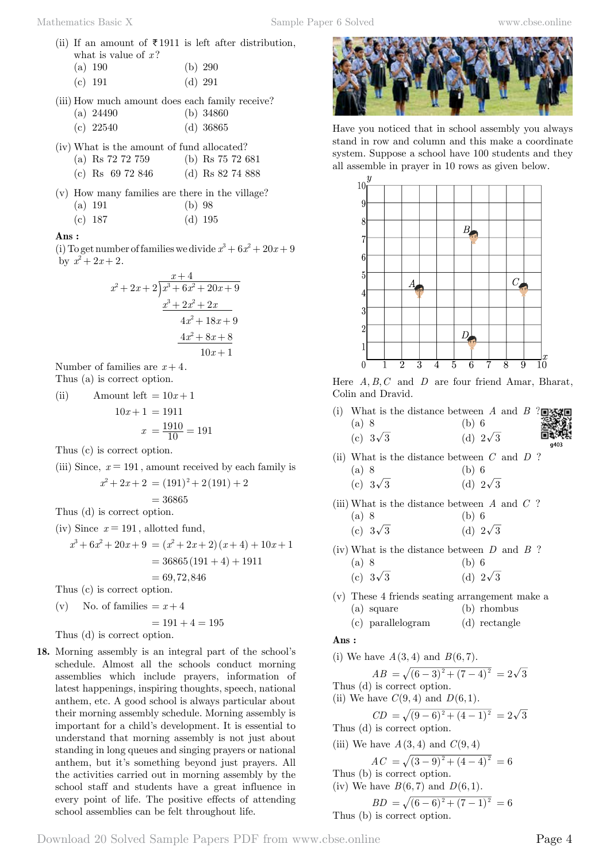(ii) If an amount of  $\bar{\tau}$  1911 is left after distribution, what is value of  $x$ ?

|           | (a) $190$ | (b) 290 |
|-----------|-----------|---------|
| (c) $191$ |           | (d) 291 |

- (iii) How much amount does each family receive?
	- (a) 24490 (b) 34860 (c) 22540 (d) 36865
- (iv) What is the amount of fund allocated?
	- (a) Rs 72 72 759 (b) Rs 75 72 681
	- (c) Rs 69 72 846 (d) Rs 82 74 888
- (v) How many families are there in the village? (a) 191 (b) 98
	- (c) 187 (d) 195

### **Ans :**

(i) To get number of families we divide  $x^3 + 6x^2 + 20x + 9$ by  $x^2 + 2x + 2$ .

$$
\begin{array}{r} x+4 \\ x^2+2x+2 \overline{\smash{\big)}x^3+6x^2+20x+9} \\ \underline{x^3+2x^2+2x} \\ 4x^2+18x+9 \\ \underline{4x^2+8x+8} \\ 10x+1 \end{array}
$$

Number of families are  $x+4$ . Thus (a) is correct option.

(ii) Amount left  $= 10x + 1$  $10x + 1 = 1911$ 

$$
x\ =frac{1910}{10} = 191
$$

Thus (c) is correct option.

(iii) Since,  $x = 191$ , amount received by each family is  $x^2 + 2x + 2 = (191)^2 + 2(191) + 2$ 

$$
= 36865
$$

Thus (d) is correct option.

- (iv) Since  $x = 191$ , allotted fund,  $x^{3} + 6x^{2} + 20x + 9 = (x^{2} + 2x + 2)(x + 4) + 10x + 1$  $= 36865(191 + 4) + 1911$  $= 69, 72, 846$ Thus (c) is correct option.
- 
- (v) No. of families  $= x + 4$

 $= 191 + 4 = 195$ 

Thus (d) is correct option.

**18.** Morning assembly is an integral part of the school's schedule. Almost all the schools conduct morning assemblies which include prayers, information of latest happenings, inspiring thoughts, speech, national anthem, etc. A good school is always particular about their morning assembly schedule. Morning assembly is important for a child's development. It is essential to understand that morning assembly is not just about standing in long queues and singing prayers or national anthem, but it's something beyond just prayers. All the activities carried out in morning assembly by the school staff and students have a great influence in every point of life. The positive effects of attending school assemblies can be felt throughout life.



Have you noticed that in school assembly you always stand in row and column and this make a coordinate system. Suppose a school have 100 students and they all assemble in prayer in 10 rows as given below.



Here  $A, B, C$  and  $D$  are four friend Amar, Bharat, Colin and Dravid.

- (i) What is the distance between *A* and *B* ? (a) 8 (b) 6 (c)  $3\sqrt{3}$  (d)  $2\sqrt{3}$
- (ii) What is the distance between *C* and *D* ? (a) 8 (b) 6

$$
(c) 3\sqrt{3} \qquad \qquad (d) 2\sqrt{3}
$$

(iii) What is the distance between *A* and *C* ? (a) 8 (b) 6

| $\sqrt{2}$ |                 | $\sim$ $\sim$ |                 |
|------------|-----------------|---------------|-----------------|
|            | (c) $3\sqrt{3}$ |               | (d) $2\sqrt{3}$ |

- (iv) What is the distance between *D* and *B* ? (a) 8 (b) 6
	- (c)  $3\sqrt{3}$  (d)  $2\sqrt{3}$
- (v) These 4 friends seating arrangement make a (a) square (b) rhombus
	- (c) parallelogram (d) rectangle

$$
\mathbf{Ans:}\quad
$$

(i) We have 
$$
A(3, 4)
$$
 and  $B(6, 7)$ .  
\n $AB = \sqrt{(6-3)^2 + (7-4)^2} = 2\sqrt{3}$   
\nThus (d) is correct option.  
\n(ii) We have  $C(9, 4)$  and  $D(6, 1)$ .  
\n $CD = \sqrt{(9-6)^2 + (4-1)^2} = 2\sqrt{3}$ 

Thus (d) is correct option.

(iii) We have  $A(3, 4)$  and  $C(9, 4)$ 

$$
AC = \sqrt{(3-9)^2 + (4-4)^2} = 6
$$

Thus (b) is correct option.

(iv) We have  $B(6, 7)$  and  $D(6, 1)$ .

$$
BD = \sqrt{(6-6)^2 + (7-1)^2} = 6
$$
  
Thus (b) is correct option.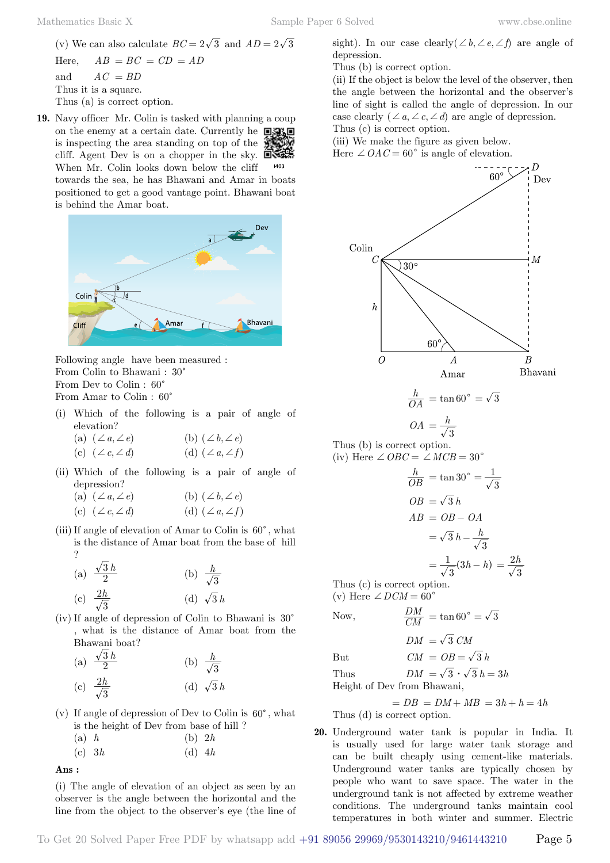(v) We can also calculate  $BC = 2\sqrt{3}$  and  $AD = 2\sqrt{3}$  $AB = BC = CD = AD$ and  $AC = BD$ Thus it is a square. Thus (a) is correct option.

**19.** Navy officer Mr. Colin is tasked with planning a coup on the enemy at a certain date. Currently he  $\Box$ is inspecting the area standing on top of the cliff. Agent Dev is on a chopper in the sky. When Mr. Colin looks down below the cliff towards the sea, he has Bhawani and Amar in boats positioned to get a good vantage point. Bhawani boat



Following angle have been measured : From Colin to Bhawani :  $30^{\circ}$ From Dev to Colin :  $60^\circ$ From Amar to Colin :  $60^{\circ}$ 

- (i) Which of the following is a pair of angle of elevation?
	- (a)  $(\angle a, \angle e)$  (b)  $(\angle b, \angle e)$ (c)  $(\angle c, \angle d)$  (d)  $(\angle a, \angle f)$
- (ii) Which of the following is a pair of angle of depression?

| (a) $(\angle a, \angle e)$ | (b) $(\angle b, \angle e)$ |
|----------------------------|----------------------------|
| (c) $(\angle c, \angle d)$ | (d) $(\angle a, \angle f)$ |

(iii) If angle of elevation of Amar to Colin is  $60^{\circ}$ , what is the distance of Amar boat from the base of hill ?

(a) 
$$
\frac{\sqrt{3}h}{2}
$$
 (b)  $\frac{h}{\sqrt{3}}$   
(c)  $\frac{2h}{\sqrt{3}}$  (d)  $\sqrt{3}h$ 

(iv) If angle of depression of Colin to Bhawani is  $30^{\circ}$ , what is the distance of Amar boat from the Bhawani boat?

(a) 
$$
\frac{\sqrt{3}h}{2}
$$
 (b)  $\frac{h}{\sqrt{3}}$   
(c)  $\frac{2h}{\sqrt{3}}$  (d)  $\sqrt{3}h$ 

(v) If angle of depression of Dev to Colin is  $60^{\circ}$ , what is the height of Dev from base of hill ?

| $(a)$ h | (b) 2h |
|---------|--------|
|         |        |

(c) 3*h* (d) 4*h*

#### **Ans :**

(i) The angle of elevation of an object as seen by an observer is the angle between the horizontal and the line from the object to the observer's eye (the line of Thus (b) is correct option.

(ii) If the object is below the level of the observer, then the angle between the horizontal and the observer's line of sight is called the angle of depression. In our case clearly  $(\angle a, \angle c, \angle d)$  are angle of depression. Thus (c) is correct option.

(iii) We make the figure as given below.

Here  $\angle OAC = 60^{\circ}$  is angle of elevation.



$$
\frac{h}{OA} = \tan 60^{\circ} = \sqrt{3}
$$

$$
OA = \frac{h}{\sqrt{3}}
$$

$$
OA = \frac{h}{\sqrt{3}}
$$
  
Thus (b) is correct option.  
(iv) Here  $\angle OBC = \angle MCB = 30$ 

$$
\frac{h}{OB} = \tan 30^\circ = \frac{1}{\sqrt{3}}
$$
  

$$
OB = \sqrt{3} h
$$
  

$$
AB = OB - OA
$$
  

$$
= \sqrt{3} h - \frac{h}{\sqrt{3}}
$$

$$
=\frac{1}{\sqrt{3}}(3h-h)=\frac{2h}{\sqrt{3}}
$$

Thus (c) is correct option. (v) Here  $\angle$  *DCM* = 60<sup>°</sup>

Now, 
$$
\frac{DM}{CM} = \tan 60^{\circ} = \sqrt{3}
$$

$$
DM = \sqrt{3} \text{ } CM
$$

But  $CM = OB = \sqrt{3} h$ 

Thus  $DM = \sqrt{3} \cdot \sqrt{3} h = 3h$ Height of Dev from Bhawani,

$$
= DB = DM + MB = 3h + h = 4h
$$
  
Thus (d) is correct option

Thus (d) is correct option.

**20.** Underground water tank is popular in India. It is usually used for large water tank storage and can be built cheaply using cement-like materials. Underground water tanks are typically chosen by people who want to save space. The water in the underground tank is not affected by extreme weather conditions. The underground tanks maintain cool temperatures in both winter and summer. Electric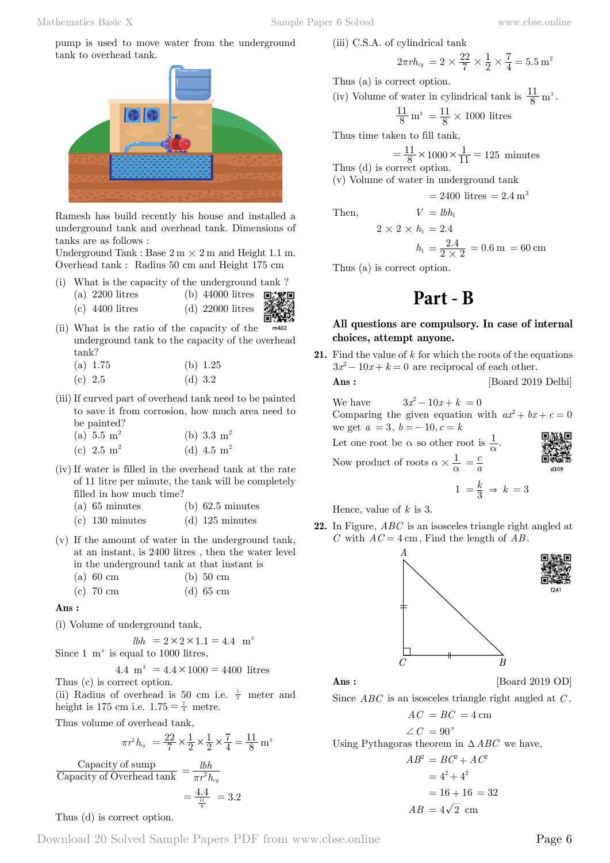pump is used to move water from the underground tank to overhead tank.



Ramesh has build recently his house and installed a underground tank and overhead tank. Dimensions of tanks are as follows :

Underground Tank : Base  $2 \text{ m} \times 2 \text{ m}$  and Height 1.1 m. Overhead tank : Radius 50 cm and Height 175 cm

- (i) What is the capacity of the underground tank ?
	- (a) 2200 litres (b) 44000 litres
	- (c) 4400 litres (d) 22000 litres
- (ii) What is the ratio of the capacity of the m402 underground tank to the capacity of the overhead tank?
	- (a) 1.75 (b) 1.25
	- (c)  $2.5$  (d)  $3.2$
- (iii)If curved part of overhead tank need to be painted to save it from corrosion, how much area need to be painted?

| (a) $5.5 \text{ m}^2$ |  | (b) $3.3 \text{ m}^2$ |  |
|-----------------------|--|-----------------------|--|
| (c) $2.5 \text{ m}^2$ |  | (d) 4.5 $m^2$         |  |

- (iv) If water is filled in the overhead tank at the rate of 11 litre per minute, the tank will be completely filled in how much time?
	- (a)  $65$  minutes (b)  $62.5$  minutes
	- (c) 130 minutes (d) 125 minutes
- (v) If the amount of water in the underground tank, at an instant, is 2400 litres , then the water level in the underground tank at that instant is
	- (a) 60 cm (b) 50 cm
	- (c) 70 cm (d) 65 cm

#### **Ans :**

(i) Volume of underground tank,

 $lbh = 2 \times 2 \times 1.1 = 4.4$  m<sup>3</sup> Since  $1 \text{ m}^3$  is equal to 1000 litres,

4.4 m<sup>3</sup> = 
$$
4.4 \times 1000 = 4400
$$
 litres

Thus (c) is correct option.

(ii) Radius of overhead is 50 cm i.e.  $\frac{1}{2}$  meter and height is 175 cm i.e.  $1.75 = \frac{7}{4}$  metre.

Thus volume of overhead tank,

$$
\pi r^2 h_{xy} = \frac{22}{7} \times \frac{1}{2} \times \frac{1}{2} \times \frac{7}{4} = \frac{11}{8} \text{ m}^3
$$

Capacity of Overhead tank Capacity of sump Overhead tank  $\pi r^2 h$  $=\frac{lbh}{\pi r^2 h_{cy}}$  $=\frac{4.4}{\frac{11}{8}}$  = 3.2

Thus 
$$
(d)
$$
 is correct option.

(iii) C.S.A. of cylindrical tank

$$
2\pi r h_{cy} = 2 \times \frac{22}{7} \times \frac{1}{2} \times \frac{7}{4} = 5.5 \,\mathrm{m}^2
$$

Thus (a) is correct option.

(iv) Volume of water in cylindrical tank is  $\frac{11}{8}$  m<sup>3</sup>.

$$
\frac{11}{8} \,\mathrm{m}^3 \ = \frac{11}{8} \times 1000 \text{ litres}
$$

Thus time taken to fill tank,

$$
= \frac{11}{8} \times 1000 \times \frac{1}{11} = 125
$$
 minutes  
Thus (d) is correct option.

(v) Volume of water in underground tank

 $V = lbh_1$ 

$$
= 2400 \text{ litres} = 2.4 \text{ m}^3
$$

$$
Then,
$$

$$
2 \times 2 \times h_1 = 2.4
$$

$$
h_1 = \frac{2.4}{2 \times 2} = 0.6 \,\mathrm{m} = 60 \,\mathrm{cm}
$$

Thus (a) is correct option.

# **Part - B**

# **All questions are compulsory. In case of internal choices, attempt anyone.**

**21.** Find the value of *k* for which the roots of the equations  $3x^2 - 10x + k = 0$  are reciprocal of each other.

**Ans :** [Board 2019 Delhi]

We have  $3x^2 - 10x + k = 0$ Comparing the given equation with  $ax^2 + bx + c = 0$ we get  $a = 3, b = -10, c = k$ 

Let one root be  $\alpha$  so other root is  $\frac{1}{\alpha}$ .

Now product of roots  $\alpha \times \frac{1}{\alpha} = \frac{c}{a}$ 

$$
\begin{array}{c}\n\begin{array}{c}\n\begin{array}{c}\n\begin{array}{c}\n\begin{array}{c}\n\begin{array}{c}\n\begin{array}{c}\n\end{array}\n\end{array}\n\end{array}\n\end{array}\n\end{array}
$$

$$
1 = \frac{k}{3} \Rightarrow k = 3
$$

Hence, value of *k* is 3.

**22.** In Figure, *ABC* is an isosceles triangle right angled at *C* with  $AC = 4$  cm, Find the length of  $AB$ .



$$
{\rm Ans:}
$$

[Board 2019 OD]

Since *ABC* is an isosceles triangle right angled at *C* ,

$$
AC = BC = 4 \text{ cm}
$$
  
\n
$$
\angle C = 90^{\circ}
$$
  
\nUsing Pythagoras theorem in  $\triangle ABC$  we have,  
\n
$$
AB^2 = BC^2 + AC^2
$$
  
\n
$$
= 4^2 + 4^2
$$
  
\n
$$
= 16 + 16 = 32
$$

 $AB = 4\sqrt{2}$  cm

$$
Ans:
$$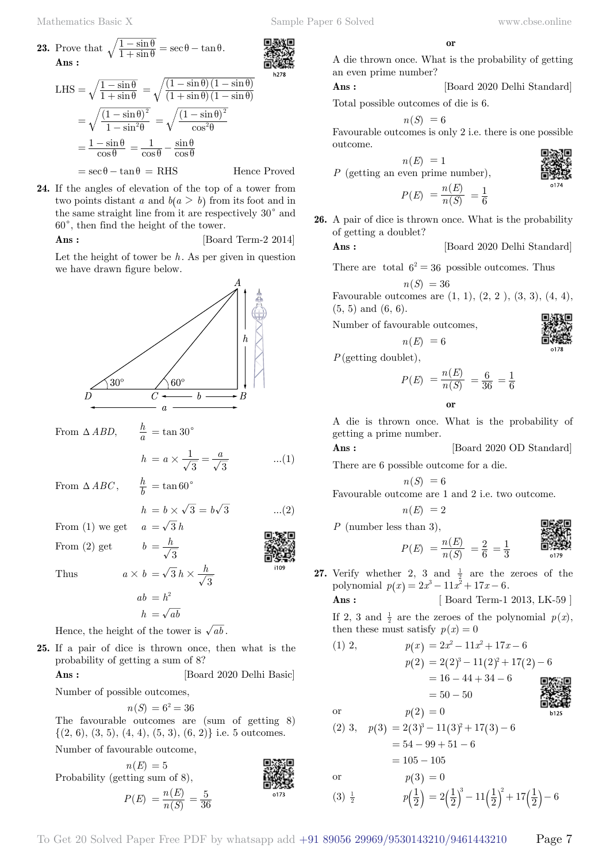LHS =  $\sqrt{\frac{1-\sin}{1+\sin}}$ 1 1  $=\sqrt{\frac{1-\sin\theta}{1+\sin\theta}}$ 

 $=\frac{1-\sin\theta}{\cos\theta}$ 

 $=\sqrt{\frac{(1-\sin\theta)}{1-\sin^2\theta}}$ 

1  $\frac{1-\sin\theta}{1-\sin^2\theta}$ 

 **Ans :**

**23.** Prove that  $\sqrt{\frac{1-\sin\theta}{1+\sin\theta}} = \sec\theta - \tan\theta$ 

sin

 $=$  $\frac{1-\sin\theta}{\cos\theta} = \frac{1}{\cos\theta} - \frac{\sin\theta}{\cos\theta}$ 

 $60^{\circ}$ , then find the height of the tower.

2  $=\sqrt{\frac{(1-\sin\theta)^2}{1-\sin^2\theta}} = \sqrt{\frac{(1-\sin\theta)}{\cos^2\theta}}$ 

 $\frac{-\sin\theta}{+\sin\theta} = \sec\theta - \tan\theta.$ 

 $(1+\sin\theta)(1-\sin\theta)$  $(1-\sin\theta)(1-\sin\theta)$  $\sin \theta (1 - \sin \theta)$  $\sin \theta (1 - \sin$ 

2

 $1 + \sin \theta$ ) (1  $1 - \sin \theta$ ) (1  $=\sqrt{\frac{(1-\sin\theta)(1-\sin\theta)}{(1+\sin\theta)(1-\sin\theta)}}$ 

 $=\sqrt{\frac{(1-\sin\theta)}{\cos^2\theta}}$ 

 $= \sec \theta - \tan \theta = RHS$  Hence Proved

 $1 \quad \sin$  $=\frac{1}{\cos\theta} - \frac{\sin\theta}{\cos\theta}$ 

**24.** If the angles of elevation of the top of a tower from two points distant *a* and  $b(a > b)$  from its foot and in the same straight line from it are respectively  $30^{\circ}$  and

**Ans :** [Board Term-2 2014] Let the height of tower be *h*. As per given in question

cos  $\frac{1-\sin \theta}{\cos^2 \theta}$   **o**

A die thrown once. What is the probability of getting an even prime number?

**Ans :** [Board 2020 Delhi Standard]

Total possible outcomes of die is 6.

$$
n(S) = 6
$$

Favourable outcomes is only 2 i.e. there is one possible outcome.

$$
= 1
$$

 $n(E)$ *P* (getting an even prime number),

$$
P(E) = \frac{n(E)}{n(S)} = \frac{1}{6}
$$

**26.** A pair of dice is thrown once. What is the probability of getting a doublet?

**Ans :** [Board 2020 Delhi Standard]

There are total  $6^2 = 36$  possible outcomes. Thus  $n(S) = 36$ 

Favourable outcomes are 
$$
(1, 1)
$$
,  $(2, 2)$ ,  $(3, 3)$ ,  $(4, 4)$ ,  $(5, 5)$  and  $(6, 6)$ .

Number of favourable outcomes,

$$
n(E) = 6
$$

*P*(getting doublet),

$$
P(E) = \frac{n(E)}{n(S)} = \frac{6}{36} = \frac{1}{6}
$$

 **o**

A die is thrown once. What is the probability of getting a prime number.

 **Ans :** [Board 2020 OD Standard]

There are 6 possible outcome for a die.

$$
\label{eq:1} n(S) \; =6
$$
   
 Favourable outcome are 1 and 2 i.e. two outcome.

$$
n(E) =
$$

*P* (

$$
P(E) = \frac{n(E)}{n(S)} = \frac{2}{6} = \frac{1}{3}
$$

**27.** Verify whether 2, 3 and  $\frac{1}{2}$  are the zeroes of the polynomial  $p(x) = 2x^3 - 11x^2 + 17x - 6$ .

**Ans :** [ Board Term-1 2013, LK-59 ]

If 2, 3 and  $\frac{1}{2}$  are the zeroes of the polynomial  $p(x)$ , then these must satisfy  $p(x) = 0$ 

(1) 2,  
\n
$$
p(x) = 2x^2 - 11x^2 + 17x - 6
$$
\n
$$
p(2) = 2(2)^3 - 11(2)^2 + 17(2) - 6
$$
\n
$$
= 16 - 44 + 34 - 6
$$
\n
$$
= 50 - 50
$$
\nor  
\n
$$
p(2) = 0
$$
\n(2) 3,  
\n
$$
p(3) = 2(3)^3 - 11(3)^2 + 17(3) - 6
$$
\n
$$
= 54 - 99 + 51 - 6
$$
\n
$$
= 105 - 105
$$

or 
$$
p(3) = 0
$$

 $(3)$ 

$$
p(\frac{1}{2}) = 2(\frac{1}{2})^3 - 11(\frac{1}{2})^2 + 17(\frac{1}{2}) - 6
$$



From  $\triangle ABD$ ,

 $\frac{h}{a}$  = tan 30<sup>c</sup>

$$
h = a \times \frac{1}{\sqrt{3}} = \frac{a}{\sqrt{3}} \quad ...(1)
$$

From  $\triangle ABC$ ,  $\frac{h}{b} = \tan 60^{\circ}$ 

$$
h = b \times \sqrt{3} = b\sqrt{3} \qquad \dots (2)
$$

From (1) we get  $a = \sqrt{3} h$ 

From (2) get  $b = \frac{h}{\sqrt{3}}$ 

Thus  $a \times b = \sqrt{3} h \times \frac{h}{\sqrt{3}}$ 

$$
ab = h^2
$$

$$
h = \sqrt{ab}
$$

Hence, the height of the tower is  $\sqrt{ab}$ .

**25.** If a pair of dice is thrown once, then what is the probability of getting a sum of 8?

**Ans :** [Board 2020 Delhi Basic]

Number of possible outcomes,

 $n(S) = 6^2 = 36$ 

The favourable outcomes are (sum of getting 8)  $\{(2, 6), (3, 5), (4, 4), (5, 3), (6, 2)\}\$ i.e. 5 outcomes. Number of favourable outcome,

 $n(E) = 5$ Probability (getting sum of 8),  $P(E) = \frac{n(E)}{n(S)}$  $=\frac{n(E)}{n(S)}=\frac{5}{36}$ 







$$
n(E) = 2
$$

number less than 
$$
3
$$
),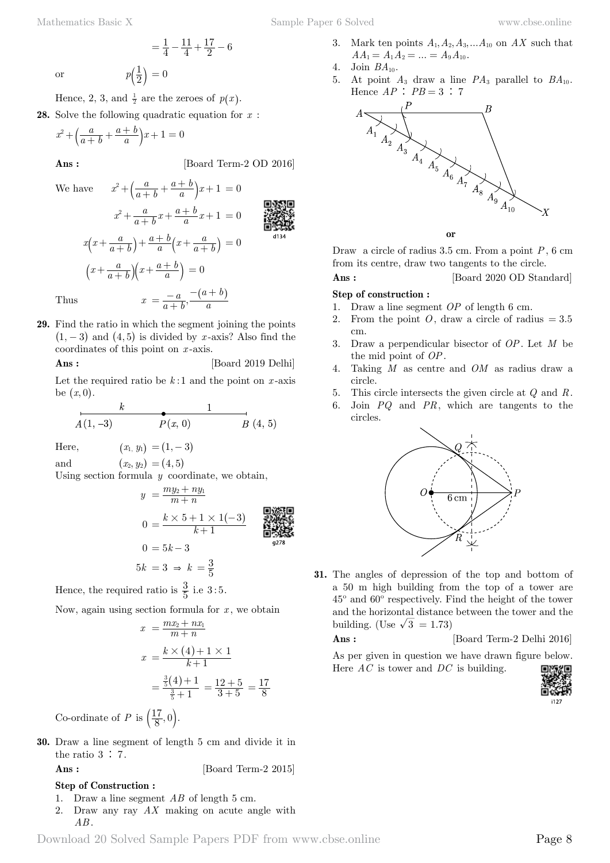or 
$$
p\left(\frac{1}{2}\right) = 0
$$

Hence, 2, 3, and  $\frac{1}{2}$  are the zeroes of  $p(x)$ .

**28.** Solve the following quadratic equation for *x* :

$$
x^{2} + \left(\frac{a}{a+b} + \frac{a+b}{a}\right)x + 1 = 0
$$

 $=\frac{1}{4}$ 

**Ans :** [Board Term-2 OD 2016]

We have 
$$
x^{2} + \left(\frac{a}{a+b} + \frac{a+b}{a}\right)x + 1 = 0
$$

$$
x^{2} + \frac{a}{a+b}x + \frac{a+b}{a}x + 1 = 0
$$

4 11  $=\frac{1}{4}-\frac{11}{4}+\frac{17}{2}-6$ 

**29.** Find the ratio in which the segment joining the points  $(1, -3)$  and  $(4, 5)$  is divided by *x*-axis? Also find the coordinates of this point on *x* -axis.

**Ans :** [Board 2019 Delhi]

Let the required ratio be  $k:1$  and the point on  $x$ -axis be  $(x, 0)$ .

$$
A(1, -3) \t\t P(x, 0) \t\t B(4, 5)
$$

Here,  $(x_1, y_1) = (1, -3)$ 

and  $(x_2, y_2) = (4, 5)$ 

Using section formula *y* coordinate, we obtain,

$$
y = \frac{my_2 + ny_1}{m+n}
$$
  
\n
$$
0 = \frac{k \times 5 + 1 \times 1(-3)}{k+1}
$$
  
\n
$$
0 = 5k - 3
$$
  
\n
$$
5k = 3 \Rightarrow k = \frac{3}{5}
$$
  
\n**Example 1.1**  
\n**EXAMPLE 2.1**  
\n**EXAMPLE 3.1**  
\n**EXAMPLE 4.1**  
\n**EXAMPLE 5.1**  
\n**EXAMPLE 6.1**  
\n**EXAMPLE 7.1**  
\n**EXAMPLE 8.1**  
\n**EXAMPLE 9.1**  
\n**EXAMPLE 1.1**  
\n**EXAMPLE 1.1**  
\n**EXAMPLE 1.1**  
\n**EXAMPLE 1.1**  
\n**EXAMPLE 1.1**  
\n**EXAMPLE 1.1**  
\n**EXAMPLE 1.1**  
\n**EXAMPLE 1.1**  
\n**EXAMPLE 1.1**  
\n**EXAMPLE 1.1**  
\n**EXAMPLE 1.1**  
\n**EXAMPLE 1.1**  
\n**EXAMPLE 1.1**  
\n**EXAMPLE 1.1**  
\n**EXAMPLE 1.1**  
\n**EXAMPLE 1.1**  
\n**EXAMPLE 1.1**  
\n**EXAMPLE 1.1**  
\n**EXAMPLE 1.1**  
\n**EXAMPLE 1.1**  
\n**EXAMPLE 1.1**  
\n**EXAMPLE 1.1**  
\n**EXAMPLE 1.1**  
\n**EXAMPLE 1.1**  
\n**EXAMPLE 1.1**  
\n**EXAMPLE 1.1**  
\n**EXAMPLE 1.1**  
\n**EXAMPLE 1.1**  
\n**EXAMPLE 1.1**  
\n**EXAMPLE 1.1**  
\n**EXAMPLE 1.1**  
\n**EXAMPLE 1.1**  
\n**EXAMPLE 1.1**  
\n**EXAMPLE 1.1**  
\n**EXAMPLE 1.1**  
\n**EXAMPLE 1.1**  
\n**EXAMPLE 1.1**  
\n**EXAMPLE 1.1**  
\n**EXAMPLE 1.1**  
\n**EXAMPLE 1.1**  
\n**EXAMPLE 1.1**  
\n**EXAMPLE 1.**

Hence, the required ratio is  $\frac{3}{5}$  i.e 3:5.

Now, again using section formula for *x* , we obtain

$$
x = \frac{mx_2 + nx_1}{m+n}
$$
  

$$
x = \frac{k \times (4) + 1 \times 1}{k+1}
$$
  

$$
= \frac{\frac{3}{5}(4) + 1}{\frac{3}{5} + 1} = \frac{12 + 5}{3 + 5} = \frac{17}{8}
$$

Co-ordinate of *P* is  $\left(\frac{17}{8}, 0\right)$ .

**30.** Draw a line segment of length 5 cm and divide it in the ratio  $3 \div 7$ .

**Ans :** [Board Term-2 2015]

#### **Step of Construction :**

- 1. Draw a line segment *AB* of length 5 cm.
- 2. Draw any ray *AX* making on acute angle with *AB* .
- 3. Mark ten points  $A_1, A_2, A_3, \ldots, A_{10}$  on  $AX$  such that  $AA_1 = A_1A_2 = ... = A_9A_{10}.$
- 4. Join  $BA_{10}$ .
- 5. At point  $A_3$  draw a line  $PA_3$  parallel to  $BA_{10}$ . Hence  $AP : PB = 3 : 7$



 **o**

Draw a circle of radius 3.5 cm. From a point *P*, 6 cm from its centre, draw two tangents to the circle.

**Ans :** [Board 2020 OD Standard]

#### **Step of construction :**

- 1. Draw a line segment *OP* of length 6 cm.
- 2. From the point  $O$ , draw a circle of radius  $= 3.5$ cm.
- 3. Draw a perpendicular bisector of *OP*. Let *M* be the mid point of *OP*.
- 4. Taking *M* as centre and *OM* as radius draw a circle.
- 5. This circle intersects the given circle at *Q* and *R*.
- 6. Join *PQ* and *PR*, which are tangents to the circles.



**31.** The angles of depression of the top and bottom of a 50 m high building from the top of a tower are 45º and 60º respectively. Find the height of the tower and the horizontal distance between the tower and the building. (Use  $\sqrt{3} = 1.73$ )

#### **Ans :** [Board Term-2 Delhi 2016]

As per given in question we have drawn figure below. Here *AC* is tower and *DC* is building.



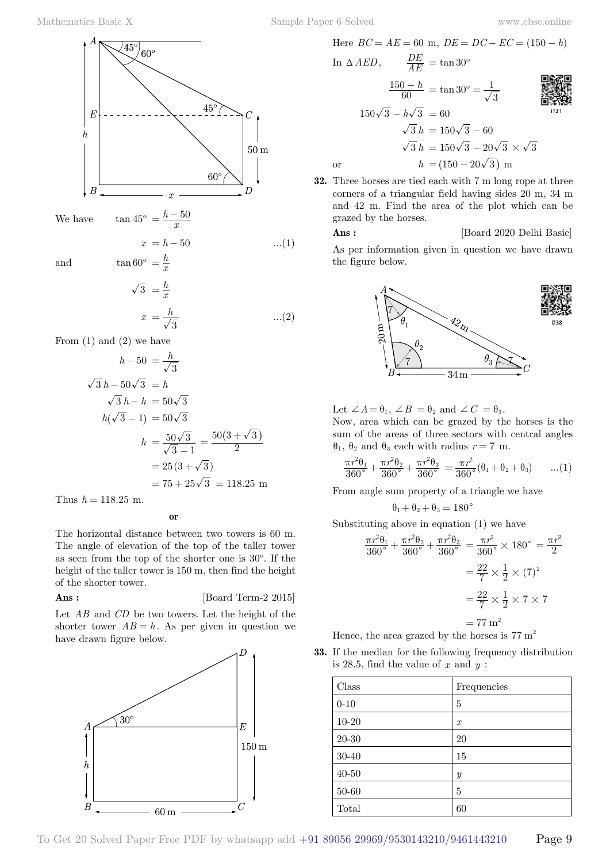

We have

 $=\frac{h-50}{x}$ 

 $rac{h}{x}$ 

$$
x = h - 50 \tag{1}
$$

and  $\tan 60^\circ = \frac{h}{a}$ 

$$
\overline{3} = \frac{h}{x}
$$
  

$$
x = \frac{h}{\sqrt{3}}
$$
...(2)

From  $(1)$  and  $(2)$  we have

$$
h - 50 = \frac{h}{\sqrt{3}}
$$
  

$$
\sqrt{3} h - 50\sqrt{3} = h
$$
  

$$
\sqrt{3} h - h = 50\sqrt{3}
$$
  

$$
h(\sqrt{3} - 1) = 50\sqrt{3}
$$
  

$$
h = \frac{50\sqrt{3}}{\sqrt{3} - 1} = \frac{50(3 + \sqrt{3})}{2}
$$
  

$$
= 25(3 + \sqrt{3})
$$
  

$$
= 75 + 25\sqrt{3} = 118.25 \text{ m}
$$

Thus  $h = 118.25$  m.

 **o**

The horizontal distance between two towers is 60 m. The angle of elevation of the top of the taller tower as seen from the top of the shorter one is 30º. If the height of the taller tower is 150 m, then find the height of the shorter tower.

**Ans :** [Board Term-2 2015]

Let *AB* and *CD* be two towers. Let the height of the shorter tower  $AB = h$ . As per given in question we have drawn figure below.



Here 
$$
BC = AE = 60
$$
 m,  $DE = DC - EC = (150 - h)$   
\nIn  $\triangle AED$ ,  $\frac{DE}{AE} = \tan 30^{\circ}$   
\n $\frac{150 - h}{60} = \tan 30^{\circ} = \frac{1}{\sqrt{3}}$   
\n $150\sqrt{3} - h\sqrt{3} = 60$   
\n $\sqrt{3}h = 150\sqrt{3} - 60$   
\n $\sqrt{3}h = 150\sqrt{3} - 20\sqrt{3} \times \sqrt{3}$   
\nor  $h = (150 - 20\sqrt{3})$  m

**32.** Three horses are tied each with 7 m long rope at three corners of a triangular field having sides 20 m, 34 m and 42 m. Find the area of the plot which can be grazed by the horses.

# **Ans :** [Board 2020 Delhi Basic]

As per information given in question we have drawn the figure below.



Let  $\angle A = \theta_1, \angle B = \theta_2$  and  $\angle C = \theta_3$ .

Now, area which can be grazed by the horses is the sum of the areas of three sectors with central angles  $\theta_1$ ,  $\theta_2$  and  $\theta_3$  each with radius  $r = 7$  m.

$$
\frac{\pi r^2 \theta_1}{360^\circ} + \frac{\pi r^2 \theta_2}{360^\circ} + \frac{\pi r^2 \theta_3}{360^\circ} = \frac{\pi r^2}{360^\circ} (\theta_1 + \theta_2 + \theta_3) \qquad \dots (1)
$$

From angle sum property of a triangle we have

$$
\theta_1 + \theta_2 + \theta_3 = 180^\circ
$$

Substituting above in equation (1) we have

$$
\frac{\pi r^2 \theta_1}{360^\circ} + \frac{\pi r^2 \theta_2}{360^\circ} + \frac{\pi r^2 \theta_3}{360^\circ} = \frac{\pi r^2}{360^\circ} \times 180^\circ = \frac{\pi r^2}{2}
$$

$$
= \frac{22}{7} \times \frac{1}{2} \times (7)^2
$$

$$
= \frac{22}{7} \times \frac{1}{2} \times 7 \times 7
$$

$$
= 77 \text{ m}^2
$$

Hence, the area grazed by the horses is  $77 \text{ m}^2$ 

**33.** If the median for the following frequency distribution is 28.5, find the value of *x* and *y* :

| Class     | Frequencies      |
|-----------|------------------|
| $0 - 10$  | 5                |
| $10 - 20$ | $\boldsymbol{x}$ |
| 20-30     | 20               |
| 30-40     | 15               |
| $40 - 50$ | Y                |
| $50 - 60$ | 5                |
| Total     | 60               |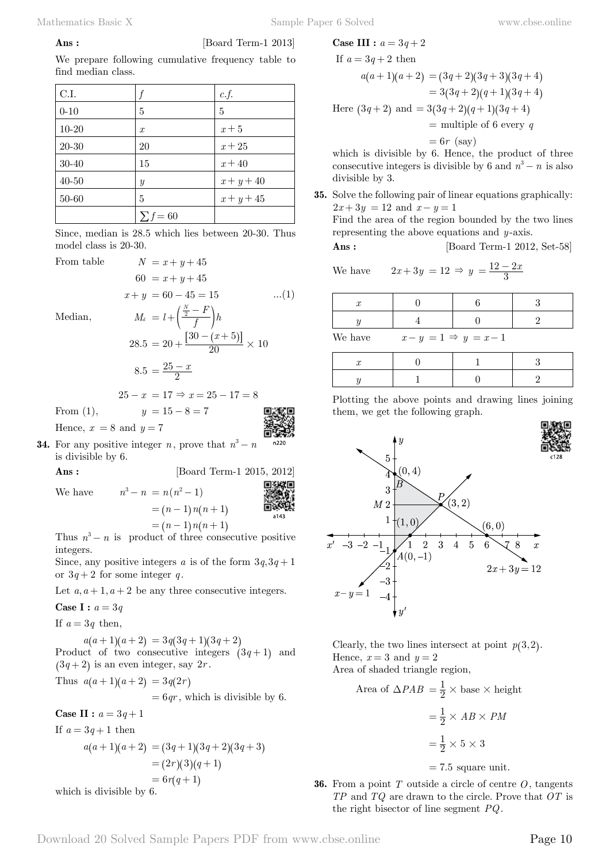$$
{\rm Ans}:
$$

[Board Term-1 2013]

We prepare following cumulative frequency table to find median class.

| C.I.      |                  | c.f.         |
|-----------|------------------|--------------|
| $0 - 10$  | 5                | 5            |
| $10 - 20$ | $\boldsymbol{x}$ | $x+5$        |
| 20-30     | 20               | $x + 25$     |
| 30-40     | 15               | $x + 40$     |
| $40 - 50$ | $\boldsymbol{y}$ | $x + y + 40$ |
| 50-60     | 5                | $x + y + 45$ |
|           | $\sum f = 60$    |              |

Since, median is 28.5 which lies between 20-30. Thus model class is 20-30.

 $60 = x + y + 45$ 

From table  $N = x + y + 45$ 

Median, *<sup>M</sup><sup>d</sup> <sup>l</sup> <sup>f</sup>*

$$
M_d = l + \left(\frac{\frac{N}{2} - F}{f}\right)h
$$
  
28.5 = 20 +  $\frac{[30 - (x + 5)]}{20} \times 10$   
8.5 =  $\frac{25 - x}{2}$ 

 $x + y = 60 - 45 = 15$  ...(1)

$$
25 - x = 17 \Rightarrow x = 25 - 17 = 8
$$

From (1),  $y = 15 - 8 = 7$ 

Hence,  $x = 8$  and  $y = 7$ 

**34.** For any positive integer *n*, prove that  $n^3 - n$ is divisible by 6.

We have 
$$
n^3 - n = n(n^2 - 1)
$$
  
=  $(n - 1)n(n + 1)$   
=  $(n - 1)n(n + 1)$   
Thus,  $\frac{3}{2}$  is an exact of the equation  $n = 0$ 

[Board Term-1 2015, 2012]

Thus  $n^3 - n$  is product of three consecutive positive integers.

Since, any positive integers *a* is of the form  $3q, 3q + 1$ or  $3q + 2$  for some integer q.

Let  $a, a+1, a+2$  be any three consecutive integers.

**Case I :**  $a = 3q$ 

If  $a = 3q$  then,

 $a(a+1) (a+2) = 3 q (3 q + 1) (3 q + 2)$ Product of two consecutive integers  $(3 q + 1)$  and  $(3 q + 2)$  is an even integer, say 2*r*.

Thus 
$$
a(a+1)(a+2) = 3q(2r)
$$
  
= 6qr, which is divisible by 6.

**Case II :**  $a = 3q + 1$ 

If  $a = 3q + 1$  then

$$
a(a+1)(a+2) = (3q+1)(3q+2)(3q+3)
$$
  
= (2r)(3)(q+1)  
= 6r(q+1)

which is divisible by 6.

Case III : 
$$
a = 3q + 2
$$

If 
$$
a = 3q + 2
$$
 then  
\n
$$
a(a+1)(a+2) = (3q+2)(3q+3)(3q+4)
$$
\n
$$
= 3(3q+2)(q+1)(3q+4)
$$
\nHere  $(3q+2)$  and  $= 3(3q+2)(q+1)(3q+4)$   
\n
$$
= \text{multiple of 6 every } q
$$
\n
$$
= 6r \text{ (say)}
$$

which is divisible by 6. Hence, the product of three consecutive integers is divisible by 6 and  $n^3 - n$  is also divisible by 3.

**35.** Solve the following pair of linear equations graphically:  $2x + 3y = 12$  and  $x - y = 1$ Find the area of the region bounded by the two lines representing the above equations and *y* -axis.

**Ans :** [Board Term-1 2012, Set-58]

We have  $2x + 3y = 12 \Rightarrow y = \frac{12 - 2x}{3}$  $=\frac{12-2}{3}$ 

| $\mathcal{X}$                        |  |  |  |
|--------------------------------------|--|--|--|
|                                      |  |  |  |
| We have<br>$x-y=1 \Rightarrow y=x-1$ |  |  |  |

Plotting the above points and drawing lines joining them, we get the following graph.



Clearly, the two lines intersect at point  $p(3, 2)$ . Hence,  $x = 3$  and  $y = 2$ Area of shaded triangle region,

Area of 
$$
\triangle PAB = \frac{1}{2} \times \text{base} \times \text{height}
$$
  
=  $\frac{1}{2} \times AB \times PM$   
=  $\frac{1}{2} \times 5 \times 3$ 

 $= 7.5$  square unit.

**36.** From a point *T* outside a circle of centre *O*, tangents *TP* and *TQ* are drawn to the circle. Prove that *OT* is the right bisector of line segment *PQ*.